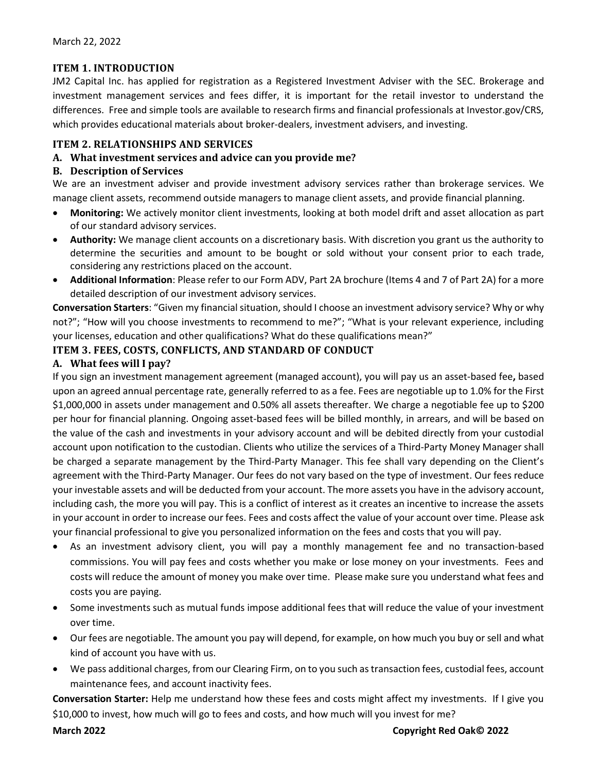## **ITEM 1. INTRODUCTION**

JM2 Capital Inc. has applied for registration as a Registered Investment Adviser with the SEC. Brokerage and investment management services and fees differ, it is important for the retail investor to understand the differences. Free and simple tools are available to research firms and financial professionals at Investor.gov/CRS, which provides educational materials about broker-dealers, investment advisers, and investing.

# **ITEM 2. RELATIONSHIPS AND SERVICES**

## **A. What investment services and advice can you provide me?**

### **B. Description of Services**

We are an investment adviser and provide investment advisory services rather than brokerage services. We manage client assets, recommend outside managers to manage client assets, and provide financial planning.

- **Monitoring:** We actively monitor client investments, looking at both model drift and asset allocation as part of our standard advisory services.
- **Authority:** We manage client accounts on a discretionary basis. With discretion you grant us the authority to determine the securities and amount to be bought or sold without your consent prior to each trade, considering any restrictions placed on the account.
- **Additional Information**: Please refer to our Form ADV, Part 2A brochure (Items 4 and 7 of Part 2A) for a more detailed description of our investment advisory services.

**Conversation Starters**: "Given my financial situation, should I choose an investment advisory service? Why or why not?"; "How will you choose investments to recommend to me?"; "What is your relevant experience, including your licenses, education and other qualifications? What do these qualifications mean?"

### **ITEM 3. FEES, COSTS, CONFLICTS, AND STANDARD OF CONDUCT**

### **A. What fees will I pay?**

If you sign an investment management agreement (managed account), you will pay us an asset-based fee**,** based upon an agreed annual percentage rate, generally referred to as a fee. Fees are negotiable up to 1.0% for the First \$1,000,000 in assets under management and 0.50% all assets thereafter. We charge a negotiable fee up to \$200 per hour for financial planning. Ongoing asset-based fees will be billed monthly, in arrears, and will be based on the value of the cash and investments in your advisory account and will be debited directly from your custodial account upon notification to the custodian. Clients who utilize the services of a Third-Party Money Manager shall be charged a separate management by the Third-Party Manager. This fee shall vary depending on the Client's agreement with the Third-Party Manager. Our fees do not vary based on the type of investment. Our fees reduce your investable assets and will be deducted from your account. The more assets you have in the advisory account, including cash, the more you will pay. This is a conflict of interest as it creates an incentive to increase the assets in your account in order to increase our fees. Fees and costs affect the value of your account over time. Please ask your financial professional to give you personalized information on the fees and costs that you will pay.

- As an investment advisory client, you will pay a monthly management fee and no transaction-based commissions. You will pay fees and costs whether you make or lose money on your investments. Fees and costs will reduce the amount of money you make over time. Please make sure you understand what fees and costs you are paying.
- Some investments such as mutual funds impose additional fees that will reduce the value of your investment over time.
- Our fees are negotiable. The amount you pay will depend, for example, on how much you buy or sell and what kind of account you have with us.
- We pass additional charges, from our Clearing Firm, on to you such as transaction fees, custodial fees, account maintenance fees, and account inactivity fees.

**Conversation Starter:** Help me understand how these fees and costs might affect my investments. If I give you \$10,000 to invest, how much will go to fees and costs, and how much will you invest for me?